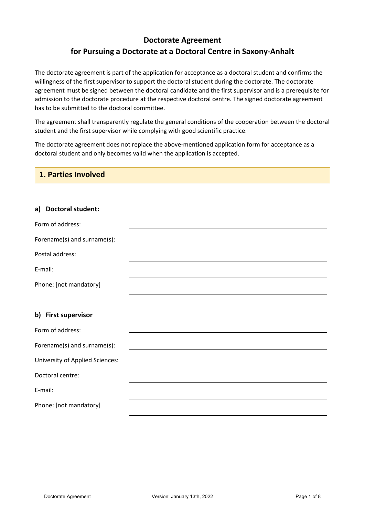# **Doctorate Agreement for Pursuing a Doctorate at a Doctoral Centre in Saxony-Anhalt**

The doctorate agreement is part of the application for acceptance as a doctoral student and confirms the willingness of the first supervisor to support the doctoral student during the doctorate. The doctorate agreement must be signed between the doctoral candidate and the first supervisor and is a prerequisite for admission to the doctorate procedure at the respective doctoral centre. The signed doctorate agreement has to be submitted to the doctoral committee.

The agreement shall transparently regulate the general conditions of the cooperation between the doctoral student and the first supervisor while complying with good scientific practice.

The doctorate agreement does not replace the above-mentioned application form for acceptance as a doctoral student and only becomes valid when the application is accepted.

| 1. Parties Involved             |  |
|---------------------------------|--|
|                                 |  |
| <b>Doctoral student:</b><br>a)  |  |
| Form of address:                |  |
| Forename(s) and surname(s):     |  |
| Postal address:                 |  |
| E-mail:                         |  |
| Phone: [not mandatory]          |  |
|                                 |  |
| b) First supervisor             |  |
| Form of address:                |  |
| Forename(s) and surname(s):     |  |
| University of Applied Sciences: |  |
| Doctoral centre:                |  |
| E-mail:                         |  |
| Phone: [not mandatory]          |  |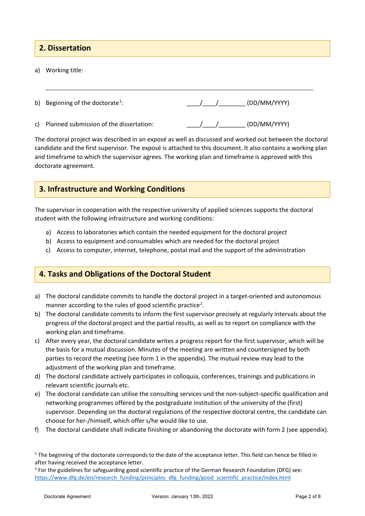## **2. Dissertation**

a) Working title:

| b) Beginning of the doctorate <sup>1</sup> : | /   /     (DD/MM/YYYY) |
|----------------------------------------------|------------------------|
|                                              |                        |

c) Planned submission of the dissertation:  $/$  /  $/$  (DD/MM/YYYY)

The doctoral project was described in an exposé as well as discussed and worked out between the doctoral candidate and the first supervisor. The exposé is attached to this document. It also contains a working plan and timeframe to which the supervisor agrees. The working plan and timeframe is approved with this doctorate agreement.

### **3. Infrastructure and Working Conditions**

The supervisor in cooperation with the respective university of applied sciences supports the doctoral student with the following infrastructure and working conditions:

- a) Access to laboratories which contain the needed equipment for the doctoral project
- b) Access to equipment and consumables which are needed for the doctoral project
- c) Access to computer, internet, telephone, postal mail and the support of the administration

## **4. Tasks and Obligations of the Doctoral Student**

- a) The doctoral candidate commits to handle the doctoral project in a target-oriented and autonomous manner according to the rules of good scientific practice<sup>2</sup>.
- b) The doctoral candidate commits to inform the first supervisor precisely at regularly intervals about the progress of the doctoral project and the partial results, as well as to report on compliance with the working plan and timeframe.
- c) After every year, the doctoral candidate writes a progress report for the first supervisor, which will be the basis for a mutual discussion. Minutes of the meeting are written and countersigned by both parties to record the meeting (see form 1 in the appendix). The mutual review may lead to the adjustment of the working plan and timeframe.
- d) The doctoral candidate actively participates in colloquia, conferences, trainings and publications in relevant scientific journals etc.
- e) The doctoral candidate can utilise the consulting services und the non-subject-specific qualification and networking programmes offered by the postgraduate institution of the university of the (first) supervisor. Depending on the doctoral regulations of the respective doctoral centre, the candidate can choose for her-/himself, which offer s/he would like to use.
- f) The doctoral candidate shall indicate finishing or abandoning the doctorate with form 2 (see appendix).

<sup>&</sup>lt;sup>1</sup> The beginning of the doctorate corresponds to the date of the acceptance letter. This field can hence be filled in after having received the acceptance letter.

<sup>&</sup>lt;sup>2</sup> For the guidelines for safeguarding good scientific practice of the German Research Foundation (DFG) see: https://www.dfg.de/en/research\_funding/principles\_dfg\_funding/good\_scientific\_practice/index.html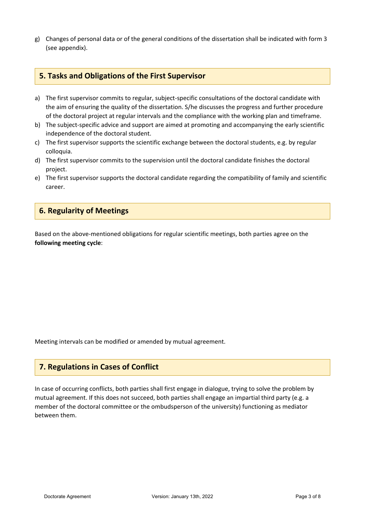g) Changes of personal data or of the general conditions of the dissertation shall be indicated with form 3 (see appendix).

#### **5. Tasks and Obligations of the First Supervisor**

- a) The first supervisor commits to regular, subject-specific consultations of the doctoral candidate with the aim of ensuring the quality of the dissertation. S/he discusses the progress and further procedure of the doctoral project at regular intervals and the compliance with the working plan and timeframe.
- b) The subject-specific advice and support are aimed at promoting and accompanying the early scientific independence of the doctoral student.
- c) The first supervisor supports the scientific exchange between the doctoral students, e.g. by regular colloquia.
- d) The first supervisor commits to the supervision until the doctoral candidate finishes the doctoral project.
- e) The first supervisor supports the doctoral candidate regarding the compatibility of family and scientific career.

#### **6. Regularity of Meetings**

Based on the above-mentioned obligations for regular scientific meetings, both parties agree on the **following meeting cycle**:

Meeting intervals can be modified or amended by mutual agreement.

### **7. Regulations in Cases of Conflict**

In case of occurring conflicts, both parties shall first engage in dialogue, trying to solve the problem by mutual agreement. If this does not succeed, both parties shall engage an impartial third party (e.g. a member of the doctoral committee or the ombudsperson of the university) functioning as mediator between them.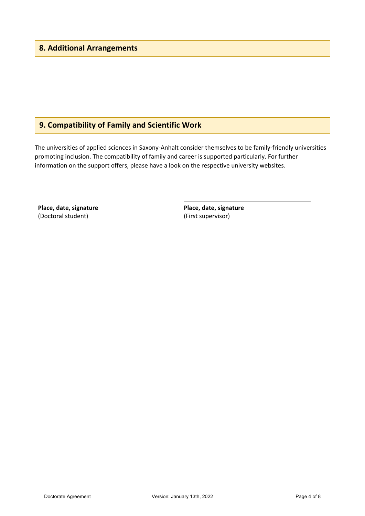# **9. Compatibility of Family and Scientific Work**

The universities of applied sciences in Saxony-Anhalt consider themselves to be family-friendly universities promoting inclusion. The compatibility of family and career is supported particularly. For further information on the support offers, please have a look on the respective university websites.

**Place, date, signature** (Doctoral student)

**Place, date, signature** (First supervisor)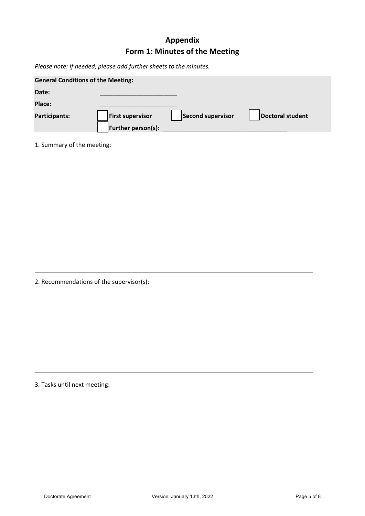# **Appendix Form 1: Minutes of the Meeting**

*Please note: If needed, please add further sheets to the minutes.*

| <b>General Conditions of the Meeting:</b> |                           |                   |                  |
|-------------------------------------------|---------------------------|-------------------|------------------|
| Date:                                     |                           |                   |                  |
| Place:                                    |                           |                   |                  |
| Participants:                             | <b>First supervisor</b>   | Second supervisor | Doctoral student |
|                                           | <b>Further person(s):</b> |                   |                  |

1. Summary of the meeting:

2. Recommendations of the supervisor(s):

3. Tasks until next meeting: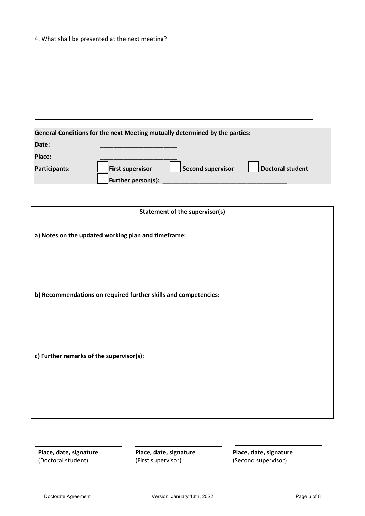### 4. What shall be presented at the next meeting?

| General Conditions for the next Meeting mutually determined by the parties: |                                                                                |  |  |
|-----------------------------------------------------------------------------|--------------------------------------------------------------------------------|--|--|
| Date:                                                                       |                                                                                |  |  |
| Place:                                                                      |                                                                                |  |  |
| Participants:                                                               | <b>Second supervisor</b><br><b>First supervisor</b><br><b>Doctoral student</b> |  |  |
|                                                                             | <b>Further person(s):</b>                                                      |  |  |

| <b>Statement of the supervisor(s)</b>                           |
|-----------------------------------------------------------------|
| a) Notes on the updated working plan and timeframe:             |
| b) Recommendations on required further skills and competencies: |
| c) Further remarks of the supervisor(s):                        |
|                                                                 |

**Place, date, signature** (Doctoral student)

**Place, date, signature** (First supervisor)

**Place, date, signature** (Second supervisor)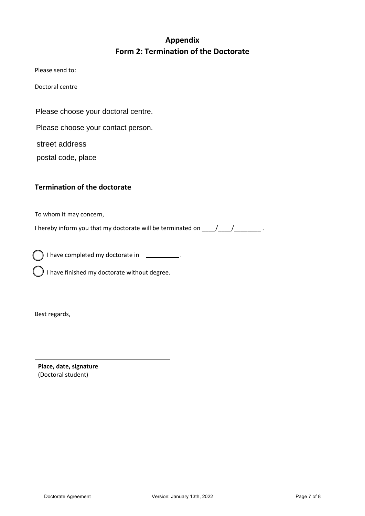# **Appendix Form 2: Termination of the Doctorate**

Please send to:

Doctoral centre

Please choose your doctoral centre.

Please choose your contact person.

street address

postal code, place

## **Termination of the doctorate**

To whom it may concern,

I hereby inform you that my doctorate will be terminated on  $\underline{\hspace{1cm}}$ 

) I have completed my doctorate in  $\Box$ .

I have finished my doctorate without degree.

Best regards,

**Place, date, signature** (Doctoral student)